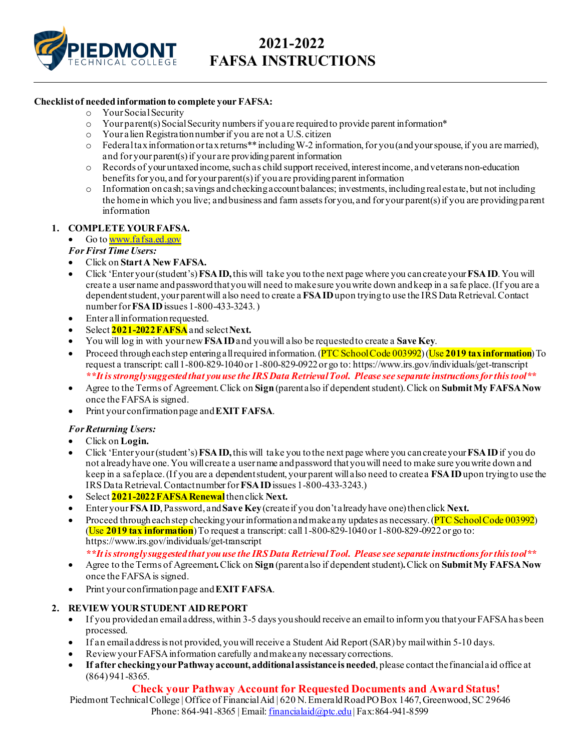

## **2021-2022 FAFSA INSTRUCTIONS**

#### **Checklist of needed information to complete your FAFSA:**

- o Your Social Security
- $\circ$  Your parent(s) Social Security numbers if you are required to provide parent information\*
- o Your alien Registration number if you are not a U.S. citizen
- o Federal tax information or tax returns\*\* including W-2 information, for you (and your spouse, if you are married), and for your parent(s) if your are providing parent information
- o Records of your untaxed income, such as child support received, interest income, and veterans non-education benefits for you, and for your parent(s) if you are providing parent information
- $\circ$  Information on cash; savings and checking account balances; investments, including real estate, but not including the home in which you live; and business and farm assets for you, and for your parent(s) if you are providing parent information

### **1. COMPLETE YOUR FAFSA.**

- Go t[o www.fafsa.ed.gov](http://www.fafsa.ed.gov/)
- *For First Time Users:*
- Click on **Start A New FAFSA.**
- Click 'Enter your (student's) **FSA ID,** this will take you to the next page where you can create your **FSA ID**. You will create a user name and password that you will need to make sure you write down and keep in a safe place. (If you are a dependent student, your parent will also need to create a **FSA ID**upon trying to use the IRS Data Retrieval.Contact number for**FSA ID**issues 1-800-433-3243.)
- Enter all information requested.
- Select **2021-2022FAFSA**and select **Next.**
- You will log in with your new **FSA ID**and you will also be requested to create a **Save Key**.
- Proceed through each step entering all required information. (PTC School Code 003992) (Use **2019 tax information**) To request a transcript: call 1-800-829-1040or 1-800-829-0922or go to: https://www.irs.gov/individuals/get-transcript *\*\*It is strongly suggested that you use the IRS Data Retrieval Tool. Please see separate instructions for this tool\*\**
- Agree to the Terms of Agreement. Click on **Sign**(parent also if dependent student).Click on **Submit My FAFSA Now**  once the FAFSA is signed.
- Print your confirmation page and **EXIT FAFSA**.

### *For Returning Users:*

- Click on **Login.**
- Click 'Enter your (student's) **FSA ID,** this will take you to the next page where you can create your **FSA ID**if you do not already have one. You will create a user name and password that you will need to make sure you write down and keep in a safe place. (If you are a dependent student, your parent will also need to create a **FSA ID**upon trying to use the IRS Data Retrieval.Contact number for **FSA ID**issues 1-800-433-3243.)
- Select **2021-2022FAFSA Renewal**then click **Next.**
- Enter your **FSA ID**, Password, and **Save Key**(create if you don't already have one)then click **Next.**
- Proceed through each step checking your information and make any updates as necessary. (PTC School Code 003992) (Use **2019 tax information**) To request a transcript: call 1-800-829-1040or 1-800-829-0922 or go to: https://www.irs.gov/individuals/get-transcript

*\*\*It is strongly suggested that you use the IRS Data Retrieval Tool. Please see separate instructions for this tool\*\**

- Agree to the Terms of Agreement**.** Click on **Sign**(parent also if dependent student)**.**Click on **Submit My FAFSA Now**  once the FAFSA is signed.
- Print your confirmation page and **EXIT FAFSA**.

### **2. REVIEW YOUR STUDENT AID REPORT**

- If you provided an email address, within 3-5 days you should receive an email to inform you that your FAFSA has been processed.
- If an email address is not provided, you will receive a Student Aid Report (SAR) by mail within 5-10 days.
- Review your FAFSA information carefully and make any necessary corrections.
- **If after checking your Pathway account, additional assistance is needed**, please contact the financial aid office at (864) 941-8365.

### **Check your Pathway Account for Requested Documents and Award Status!**

Piedmont Technical College | Office of Financial Aid | 620 N. Emerald Road PO Box 1467, Greenwood, SC 29646 Phone: 864-941-8365 | Email: [financialaid@ptc.edu](mailto:financialaid@ptc.edu) | Fax: 864-941-8599